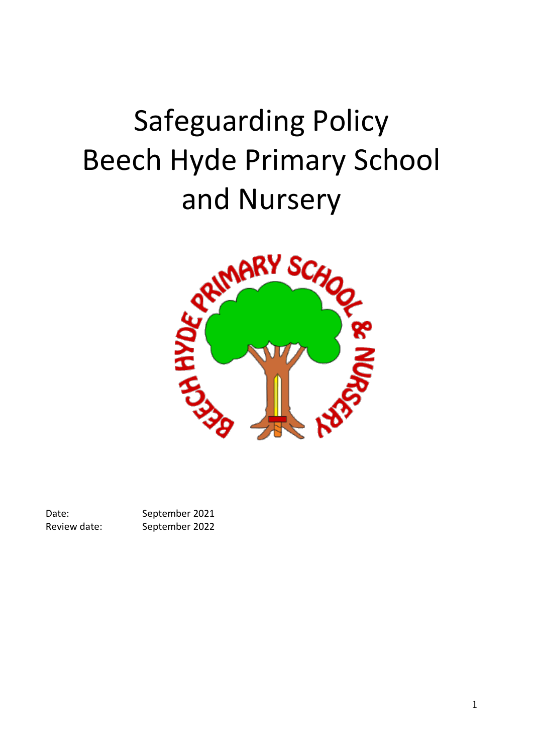# Safeguarding Policy Beech Hyde Primary School



Date: September 2021 Review date: September 2022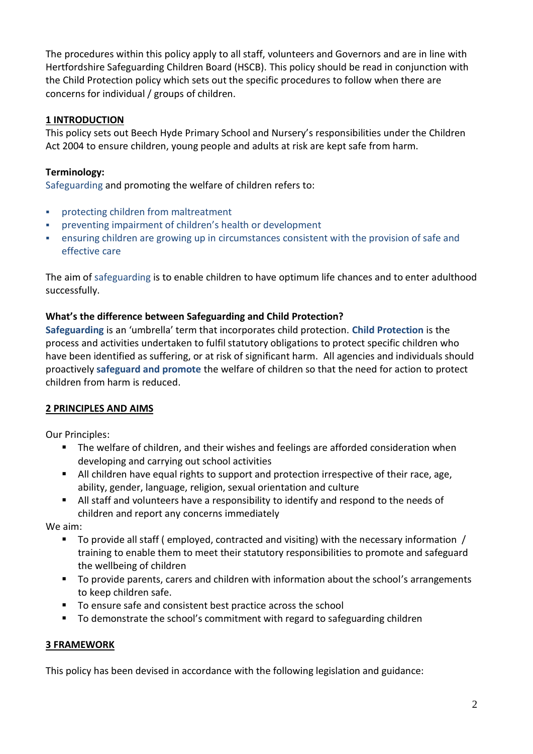The procedures within this policy apply to all staff, volunteers and Governors and are in line with Hertfordshire Safeguarding Children Board (HSCB). This policy should be read in conjunction with the Child Protection policy which sets out the specific procedures to follow when there are concerns for individual / groups of children.

## **1 INTRODUCTION**

This policy sets out Beech Hyde Primary School and Nursery's responsibilities under the Children Act 2004 to ensure children, young people and adults at risk are kept safe from harm.

# **Terminology:**

Safeguarding and promoting the welfare of children refers to:

- **•** protecting children from maltreatment
- preventing impairment of children's health or development
- **•** ensuring children are growing up in circumstances consistent with the provision of safe and effective care

The aim of safeguarding is to enable children to have optimum life chances and to enter adulthood successfully.

#### **What's the difference between Safeguarding and Child Protection?**

**Safeguarding** is an 'umbrella' term that incorporates child protection. **Child Protection** is the process and activities undertaken to fulfil statutory obligations to protect specific children who have been identified as suffering, or at risk of significant harm. All agencies and individuals should proactively **safeguard and promote** the welfare of children so that the need for action to protect children from harm is reduced.

#### **2 PRINCIPLES AND AIMS**

Our Principles:

- The welfare of children, and their wishes and feelings are afforded consideration when developing and carrying out school activities
- All children have equal rights to support and protection irrespective of their race, age, ability, gender, language, religion, sexual orientation and culture
- All staff and volunteers have a responsibility to identify and respond to the needs of children and report any concerns immediately

We aim:

- $\blacksquare$  To provide all staff (employed, contracted and visiting) with the necessary information / training to enable them to meet their statutory responsibilities to promote and safeguard the wellbeing of children
- To provide parents, carers and children with information about the school's arrangements to keep children safe.
- To ensure safe and consistent best practice across the school
- To demonstrate the school's commitment with regard to safeguarding children

#### **3 FRAMEWORK**

This policy has been devised in accordance with the following legislation and guidance: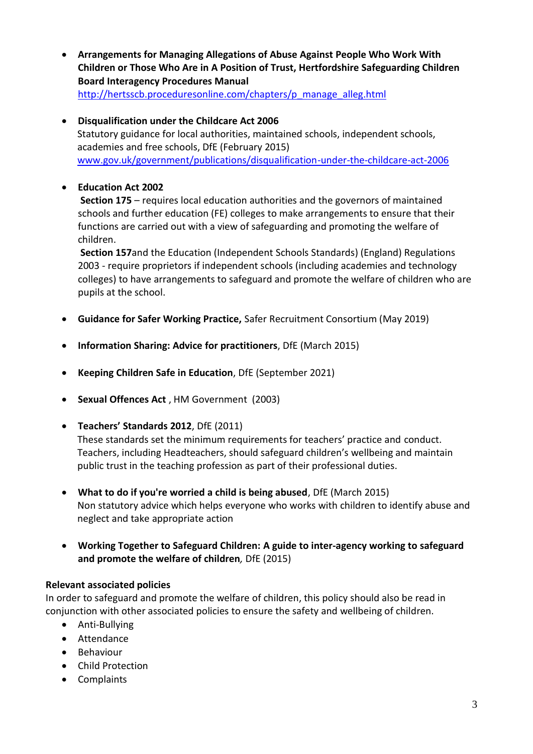- **Arrangements for Managing Allegations of Abuse Against People Who Work With Children or Those Who Are in A Position of Trust, Hertfordshire Safeguarding Children Board Interagency Procedures Manual** [http://hertsscb.proceduresonline.com/chapters/p\\_manage\\_alleg.html](http://hertsscb.proceduresonline.com/chapters/p_manage_alleg.html)
- **Disqualification under the Childcare Act 2006** Statutory guidance for local authorities, maintained schools, independent schools, academies and free schools, DfE (February 2015) [www.gov.uk/government/publications/disqualification-under-the-childcare-act-2006](http://www.gov.uk/government/publications/disqualification-under-the-childcare-act-2006)

# • **Education Act 2002**

**Section 175** – requires local education authorities and the governors of maintained schools and further education (FE) colleges to make arrangements to ensure that their functions are carried out with a view of safeguarding and promoting the welfare of children.

**Section 157**and the Education (Independent Schools Standards) (England) Regulations 2003 - require proprietors if independent schools (including academies and technology colleges) to have arrangements to safeguard and promote the welfare of children who are pupils at the school.

- **Guidance for Safer Working Practice,** Safer Recruitment Consortium (May 2019)
- **Information Sharing: Advice for practitioners**, DfE (March 2015)
- **Keeping Children Safe in Education**, DfE (September 2021)
- **Sexual Offences Act** , HM Government (2003)
- **Teachers' Standards 2012**, DfE (2011)

These standards set the minimum requirements for teachers' practice and conduct. Teachers, including Headteachers, should safeguard children's wellbeing and maintain public trust in the teaching profession as part of their professional duties.

- **What to do if you're worried a child is being abused**, DfE (March 2015) Non statutory advice which helps everyone who works with children to identify abuse and neglect and take appropriate action
- **Working Together to Safeguard Children: A guide to inter-agency working to safeguard and promote the welfare of children***,* DfE (2015)

#### **Relevant associated policies**

In order to safeguard and promote the welfare of children, this policy should also be read in conjunction with other associated policies to ensure the safety and wellbeing of children.

- Anti-Bullying
- Attendance
- Behaviour
- Child Protection
- Complaints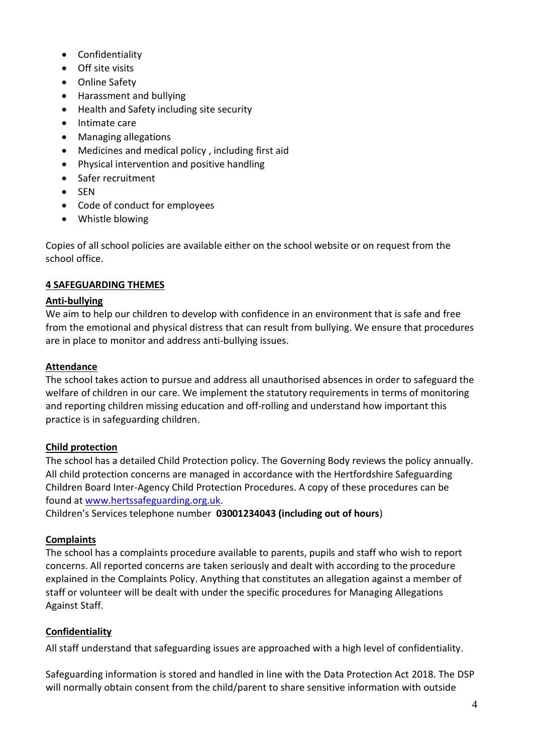- Confidentiality
- Off site visits
- Online Safety
- Harassment and bullying
- Health and Safety including site security
- Intimate care
- Managing allegations
- Medicines and medical policy , including first aid
- Physical intervention and positive handling
- Safer recruitment
- SEN
- Code of conduct for employees
- Whistle blowing

Copies of all school policies are available either on the school website or on request from the school office.

#### **4 SAFEGUARDING THEMES**

#### **Anti-bullying**

We aim to help our children to develop with confidence in an environment that is safe and free from the emotional and physical distress that can result from bullying. We ensure that procedures are in place to monitor and address anti-bullying issues.

#### **Attendance**

The school takes action to pursue and address all unauthorised absences in order to safeguard the welfare of children in our care. We implement the statutory requirements in terms of monitoring and reporting children missing education and off-rolling and understand how important this practice is in safeguarding children.

#### **Child protection**

The school has a detailed Child Protection policy. The Governing Body reviews the policy annually. All child protection concerns are managed in accordance with the Hertfordshire Safeguarding Children Board Inter-Agency Child Protection Procedures. A copy of these procedures can be found at [www.hertssafeguarding.org.uk.](http://www.hertssafeguarding.org.uk/)

Children's Services telephone number **03001234043 (including out of hours**)

#### **Complaints**

The school has a complaints procedure available to parents, pupils and staff who wish to report concerns. All reported concerns are taken seriously and dealt with according to the procedure explained in the Complaints Policy. Anything that constitutes an allegation against a member of staff or volunteer will be dealt with under the specific procedures for Managing Allegations Against Staff.

#### **Confidentiality**

All staff understand that safeguarding issues are approached with a high level of confidentiality.

Safeguarding information is stored and handled in line with the Data Protection Act 2018. The DSP will normally obtain consent from the child/parent to share sensitive information with outside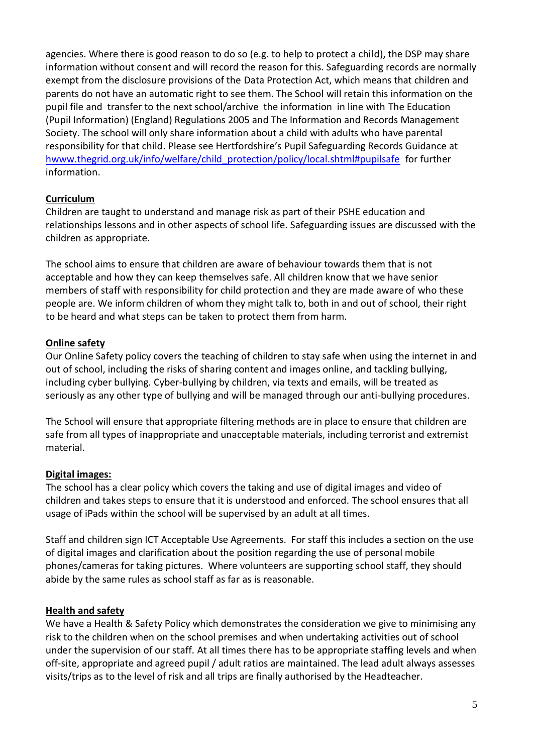agencies. Where there is good reason to do so (e.g. to help to protect a child), the DSP may share information without consent and will record the reason for this. Safeguarding records are normally exempt from the disclosure provisions of the Data Protection Act, which means that children and parents do not have an automatic right to see them. The School will retain this information on the pupil file and transfer to the next school/archive the information in line with The Education (Pupil Information) (England) Regulations 2005 and The Information and Records Management Society. The school will only share information about a child with adults who have parental responsibility for that child. Please see Hertfordshire's Pupil Safeguarding Records Guidance at [hwww.thegrid.org.uk/info/welfare/child\\_protection/policy/local.shtml#pupilsafe](http://www.thegrid.org.uk/info/welfare/child_protection/policy/local.shtml#pupilsafe) for further information.

# **Curriculum**

Children are taught to understand and manage risk as part of their PSHE education and relationships lessons and in other aspects of school life. Safeguarding issues are discussed with the children as appropriate.

The school aims to ensure that children are aware of behaviour towards them that is not acceptable and how they can keep themselves safe. All children know that we have senior members of staff with responsibility for child protection and they are made aware of who these people are. We inform children of whom they might talk to, both in and out of school, their right to be heard and what steps can be taken to protect them from harm.

#### **Online safety**

Our Online Safety policy covers the teaching of children to stay safe when using the internet in and out of school, including the risks of sharing content and images online, and tackling bullying, including cyber bullying. Cyber-bullying by children, via texts and emails, will be treated as seriously as any other type of bullying and will be managed through our anti-bullying procedures.

The School will ensure that appropriate filtering methods are in place to ensure that children are safe from all types of inappropriate and unacceptable materials, including terrorist and extremist material.

#### **Digital images:**

The school has a clear policy which covers the taking and use of digital images and video of children and takes steps to ensure that it is understood and enforced. The school ensures that all usage of iPads within the school will be supervised by an adult at all times.

Staff and children sign ICT Acceptable Use Agreements. For staff this includes a section on the use of digital images and clarification about the position regarding the use of personal mobile phones/cameras for taking pictures. Where volunteers are supporting school staff, they should abide by the same rules as school staff as far as is reasonable.

#### **Health and safety**

We have a Health & Safety Policy which demonstrates the consideration we give to minimising any risk to the children when on the school premises and when undertaking activities out of school under the supervision of our staff. At all times there has to be appropriate staffing levels and when off-site, appropriate and agreed pupil / adult ratios are maintained. The lead adult always assesses visits/trips as to the level of risk and all trips are finally authorised by the Headteacher.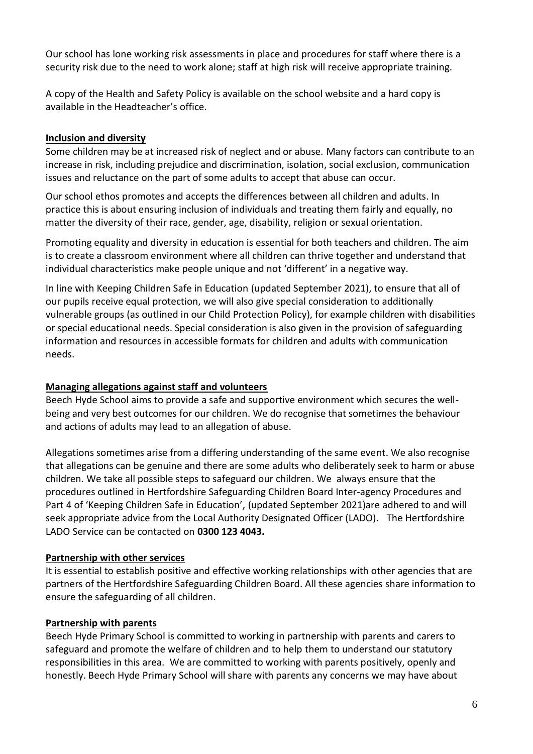Our school has lone working risk assessments in place and procedures for staff where there is a security risk due to the need to work alone; staff at high risk will receive appropriate training.

A copy of the Health and Safety Policy is available on the school website and a hard copy is available in the Headteacher's office.

## **Inclusion and diversity**

Some children may be at increased risk of neglect and or abuse. Many factors can contribute to an increase in risk, including prejudice and discrimination, isolation, social exclusion, communication issues and reluctance on the part of some adults to accept that abuse can occur.

Our school ethos promotes and accepts the differences between all children and adults. In practice this is about ensuring inclusion of individuals and treating them fairly and equally, no matter the diversity of their race, gender, age, disability, religion or sexual orientation.

Promoting equality and diversity in education is essential for both teachers and children. The aim is to create a classroom environment where all children can thrive together and understand that individual characteristics make people unique and not 'different' in a negative way.

In line with Keeping Children Safe in Education (updated September 2021), to ensure that all of our pupils receive equal protection, we will also give special consideration to additionally vulnerable groups (as outlined in our Child Protection Policy), for example children with disabilities or special educational needs. Special consideration is also given in the provision of safeguarding information and resources in accessible formats for children and adults with communication needs.

# **Managing allegations against staff and volunteers**

Beech Hyde School aims to provide a safe and supportive environment which secures the wellbeing and very best outcomes for our children. We do recognise that sometimes the behaviour and actions of adults may lead to an allegation of abuse.

Allegations sometimes arise from a differing understanding of the same event. We also recognise that allegations can be genuine and there are some adults who deliberately seek to harm or abuse children. We take all possible steps to safeguard our children. We always ensure that the procedures outlined in [Hertfordshire](http://norfolkscb.proceduresonline.com/chapters/p_alleg_work.html) Safeguarding Children Board Inter-agency Procedures and Part 4 of 'Keeping Children Safe in Education', (updated September 2021)are adhered to and will seek appropriate advice from the Local Authority Designated Officer (LADO). The Hertfordshire LADO Service can be contacted on **0300 123 4043.**

#### **Partnership with other services**

It is essential to establish positive and effective working relationships with other agencies that are partners of the Hertfordshire Safeguarding Children Board. All these agencies share information to ensure the safeguarding of all children.

# **Partnership with parents**

Beech Hyde Primary School is committed to working in partnership with parents and carers to safeguard and promote the welfare of children and to help them to understand our statutory responsibilities in this area. We are committed to working with parents positively, openly and honestly. Beech Hyde Primary School will share with parents any concerns we may have about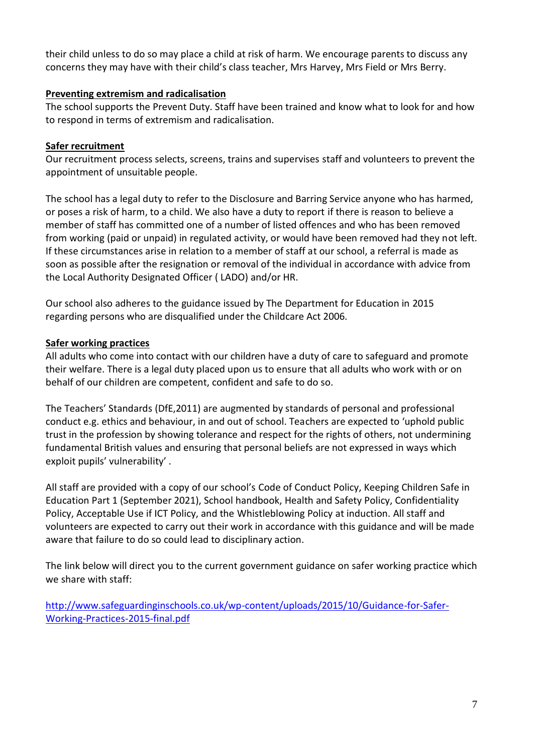their child unless to do so may place a child at risk of harm. We encourage parents to discuss any concerns they may have with their child's class teacher, Mrs Harvey, Mrs Field or Mrs Berry.

#### **Preventing extremism and radicalisation**

The school supports the Prevent Duty. Staff have been trained and know what to look for and how to respond in terms of extremism and radicalisation.

#### **Safer recruitment**

Our recruitment process selects, screens, trains and supervises staff and volunteers to prevent the appointment of unsuitable people.

The school has a legal duty to refer to the Disclosure and Barring Service anyone who has harmed, or poses a risk of harm, to a child. We also have a duty to report if there is reason to believe a member of staff has committed one of a number of listed offences and who has been removed from working (paid or unpaid) in regulated activity, or would have been removed had they not left. If these circumstances arise in relation to a member of staff at our school, a referral is made as soon as possible after the resignation or removal of the individual in accordance with advice from the Local Authority Designated Officer ( LADO) and/or HR.

Our school also adheres to the guidance issued by The Department for Education in 2015 regarding persons who are disqualified under the Childcare Act 2006.

#### **Safer working practices**

All adults who come into contact with our children have a duty of care to safeguard and promote their welfare. There is a legal duty placed upon us to ensure that all adults who work with or on behalf of our children are competent, confident and safe to do so.

The Teachers' Standards (DfE,2011) are augmented by standards of personal and professional conduct e.g. ethics and behaviour, in and out of school. Teachers are expected to 'uphold public trust in the profession by showing tolerance and respect for the rights of others, not undermining fundamental British values and ensuring that personal beliefs are not expressed in ways which exploit pupils' vulnerability' .

All staff are provided with a copy of our school's Code of Conduct Policy, Keeping Children Safe in Education Part 1 (September 2021), School handbook, Health and Safety Policy, Confidentiality Policy, Acceptable Use if ICT Policy, and the Whistleblowing Policy at induction. All staff and volunteers are expected to carry out their work in accordance with this guidance and will be made aware that failure to do so could lead to disciplinary action.

The link below will direct you to the current government guidance on safer working practice which we share with staff:

[http://www.safeguardinginschools.co.uk/wp-content/uploads/2015/10/Guidance-for-Safer-](http://www.safeguardinginschools.co.uk/wp-content/uploads/2015/10/Guidance-for-Safer-Working-Practices-2015-final.pdf)[Working-Practices-2015-final.pdf](http://www.safeguardinginschools.co.uk/wp-content/uploads/2015/10/Guidance-for-Safer-Working-Practices-2015-final.pdf)